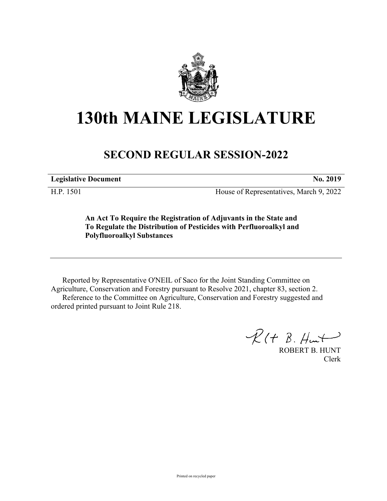

## **130th MAINE LEGISLATURE**

## **SECOND REGULAR SESSION-2022**

**Legislative Document No. 2019**

H.P. 1501 House of Representatives, March 9, 2022

**An Act To Require the Registration of Adjuvants in the State and To Regulate the Distribution of Pesticides with Perfluoroalkyl and Polyfluoroalkyl Substances**

Reported by Representative O'NEIL of Saco for the Joint Standing Committee on Agriculture, Conservation and Forestry pursuant to Resolve 2021, chapter 83, section 2. Reference to the Committee on Agriculture, Conservation and Forestry suggested and ordered printed pursuant to Joint Rule 218.

 $R(H B. H<sub>un</sub>)$ 

ROBERT B. HUNT Clerk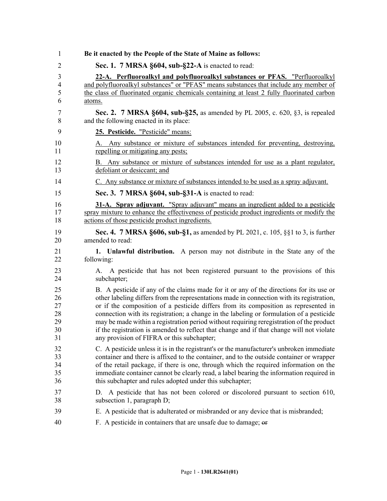| 1              | Be it enacted by the People of the State of Maine as follows:                             |
|----------------|-------------------------------------------------------------------------------------------|
| 2              | Sec. 1. 7 MRSA §604, sub-§22-A is enacted to read:                                        |
| 3              | 22-A. Perfluoroalkyl and polyfluoroalkyl substances or PFAS. "Perfluoroalkyl              |
| $\overline{4}$ | and polyfluoroalkyl substances" or "PFAS" means substances that include any member of     |
| 5              | the class of fluorinated organic chemicals containing at least 2 fully fluorinated carbon |
| 6              | atoms.                                                                                    |
| 7              | <b>Sec. 2.</b> 7 MRSA §604, sub-§25, as amended by PL 2005, c. 620, §3, is repealed       |
| 8              | and the following enacted in its place:                                                   |
| 9              | 25. Pesticide. "Pesticide" means:                                                         |
| 10             | A. Any substance or mixture of substances intended for preventing, destroying,            |
| 11             | repelling or mitigating any pests;                                                        |
| 12             | B. Any substance or mixture of substances intended for use as a plant regulator,          |
| 13             | defoliant or desiccant; and                                                               |
| 14             | C. Any substance or mixture of substances intended to be used as a spray adjuvant.        |
| 15             | Sec. 3. 7 MRSA §604, sub-§31-A is enacted to read:                                        |
| 16             | <b>31-A.</b> Spray adjuvant. "Spray adjuvant" means an ingredient added to a pesticide    |
| 17             | spray mixture to enhance the effectiveness of pesticide product ingredients or modify the |
| 18             | actions of those pesticide product ingredients.                                           |
| 19             | Sec. 4. 7 MRSA §606, sub-§1, as amended by PL 2021, c. 105, §§1 to 3, is further          |
| 20             | amended to read:                                                                          |
| 21             | 1. Unlawful distribution. A person may not distribute in the State any of the             |
| 22             | following:                                                                                |
| 23             | A. A pesticide that has not been registered pursuant to the provisions of this            |
| 24             | subchapter;                                                                               |
| 25             | B. A pesticide if any of the claims made for it or any of the directions for its use or   |
| 26             | other labeling differs from the representations made in connection with its registration, |
| 27             | or if the composition of a pesticide differs from its composition as represented in       |
| 28             | connection with its registration; a change in the labeling or formulation of a pesticide  |
| 29             | may be made within a registration period without requiring reregistration of the product  |
| 30             | if the registration is amended to reflect that change and if that change will not violate |
| 31             | any provision of FIFRA or this subchapter;                                                |
| 32             | C. A pesticide unless it is in the registrant's or the manufacturer's unbroken immediate  |
| 33             | container and there is affixed to the container, and to the outside container or wrapper  |
| 34             | of the retail package, if there is one, through which the required information on the     |
| 35             | immediate container cannot be clearly read, a label bearing the information required in   |
| 36             | this subchapter and rules adopted under this subchapter;                                  |
| 37             | D. A pesticide that has not been colored or discolored pursuant to section 610,           |
| 38             | subsection 1, paragraph D;                                                                |
| 39             | E. A pesticide that is adulterated or misbranded or any device that is misbranded;        |
| 40             | F. A pesticide in containers that are unsafe due to damage; or                            |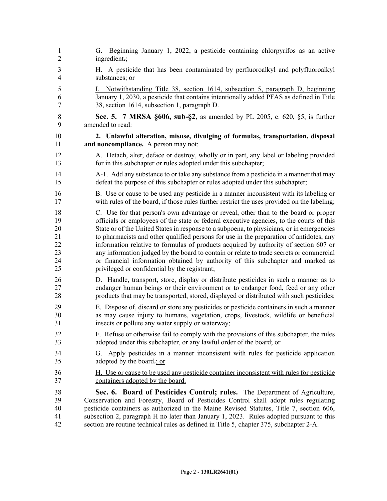| 1              | G. Beginning January 1, 2022, a pesticide containing chlorpyrifos as an active              |
|----------------|---------------------------------------------------------------------------------------------|
| $\overline{2}$ | ingredient.;                                                                                |
| 3              | H. A pesticide that has been contaminated by perfluoroalkyl and polyfluoroalkyl             |
| $\overline{4}$ | substances; or                                                                              |
| 5              | Notwithstanding Title 38, section 1614, subsection 5, paragraph D, beginning                |
| 6              | January 1, 2030, a pesticide that contains intentionally added PFAS as defined in Title     |
| 7              | 38, section 1614, subsection 1, paragraph D.                                                |
| 8              | Sec. 5. 7 MRSA §606, sub-§2, as amended by PL 2005, c. 620, §5, is further                  |
| 9              | amended to read:                                                                            |
| 10             | 2. Unlawful alteration, misuse, divulging of formulas, transportation, disposal             |
| 11             | and noncompliance. A person may not:                                                        |
| 12             | A. Detach, alter, deface or destroy, wholly or in part, any label or labeling provided      |
| 13             | for in this subchapter or rules adopted under this subchapter;                              |
| 14             | A-1. Add any substance to or take any substance from a pesticide in a manner that may       |
| 15             | defeat the purpose of this subchapter or rules adopted under this subchapter;               |
| 16             | B. Use or cause to be used any pesticide in a manner inconsistent with its labeling or      |
| 17             | with rules of the board, if those rules further restrict the uses provided on the labeling; |
| 18             | C. Use for that person's own advantage or reveal, other than to the board or proper         |
| 19             | officials or employees of the state or federal executive agencies, to the courts of this    |
| 20             | State or of the United States in response to a subpoena, to physicians, or in emergencies   |
| 21             | to pharmacists and other qualified persons for use in the preparation of antidotes, any     |
| 22             | information relative to formulas of products acquired by authority of section 607 or        |
| 23             | any information judged by the board to contain or relate to trade secrets or commercial     |
| 24             | or financial information obtained by authority of this subchapter and marked as             |
| 25             | privileged or confidential by the registrant;                                               |
| 26             | D. Handle, transport, store, display or distribute pesticides in such a manner as to        |
| 27             | endanger human beings or their environment or to endanger food, feed or any other           |
| 28             | products that may be transported, stored, displayed or distributed with such pesticides;    |
| 29             | E. Dispose of, discard or store any pesticides or pesticide containers in such a manner     |
| 30             | as may cause injury to humans, vegetation, crops, livestock, wildlife or beneficial         |
| 31             | insects or pollute any water supply or waterway;                                            |
| 32             | F. Refuse or otherwise fail to comply with the provisions of this subchapter, the rules     |
| 33             | adopted under this subchapter, or any lawful order of the board; or                         |
| 34             | G. Apply pesticides in a manner inconsistent with rules for pesticide application           |
| 35             | adopted by the board-; or                                                                   |
| 36             | H. Use or cause to be used any pesticide container inconsistent with rules for pesticide    |
| 37             | containers adopted by the board.                                                            |
| 38             | Sec. 6. Board of Pesticides Control; rules. The Department of Agriculture,                  |
| 39             | Conservation and Forestry, Board of Pesticides Control shall adopt rules regulating         |
| 40             | pesticide containers as authorized in the Maine Revised Statutes, Title 7, section 606,     |
| 41             | subsection 2, paragraph H no later than January 1, 2023. Rules adopted pursuant to this     |
| 42             | section are routine technical rules as defined in Title 5, chapter 375, subchapter 2-A.     |